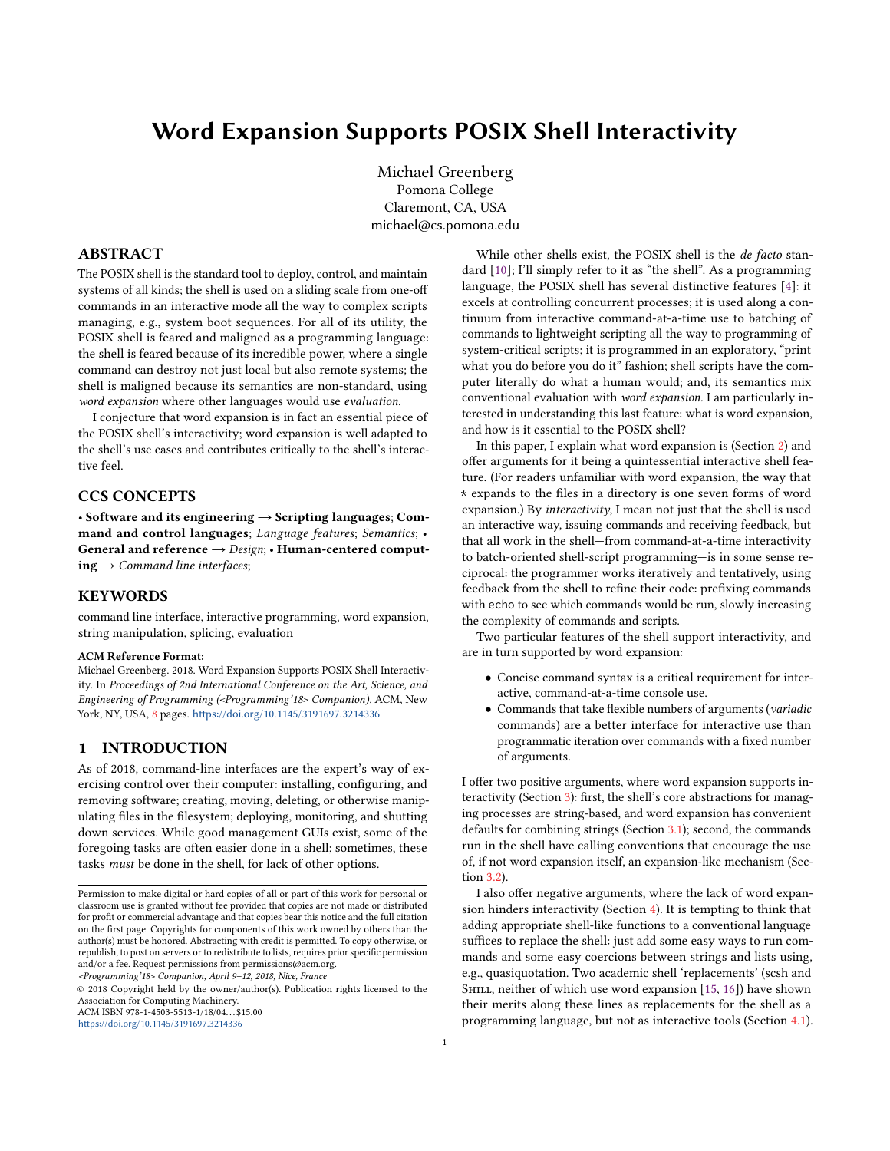# Word Expansion Supports POSIX Shell Interactivity

Michael Greenberg Pomona College Claremont, CA, USA michael@cs.pomona.edu

#### ABSTRACT

The POSIX shell is the standard tool to deploy, control, and maintain systems of all kinds; the shell is used on a sliding scale from one-off commands in an interactive mode all the way to complex scripts managing, e.g., system boot sequences. For all of its utility, the POSIX shell is feared and maligned as a programming language: the shell is feared because of its incredible power, where a single command can destroy not just local but also remote systems; the shell is maligned because its semantics are non-standard, using word expansion where other languages would use evaluation.

I conjecture that word expansion is in fact an essential piece of the POSIX shell's interactivity; word expansion is well adapted to the shell's use cases and contributes critically to the shell's interactive feel.

# CCS CONCEPTS

• Software and its engineering  $\rightarrow$  Scripting languages; Command and control languages; Language features; Semantics; • General and reference  $\rightarrow$  Design; • Human-centered comput $ing \rightarrow Command$  line interfaces;

# **KEYWORDS**

command line interface, interactive programming, word expansion, string manipulation, splicing, evaluation

#### ACM Reference Format:

Michael Greenberg. 2018. Word Expansion Supports POSIX Shell Interactivity. In Proceedings of 2nd International Conference on the Art, Science, and Engineering of Programming (<Programming'18> Companion). ACM, New York, NY, USA, [8](#page-7-0) pages. <https://doi.org/10.1145/3191697.3214336>

## 1 INTRODUCTION

As of 2018, command-line interfaces are the expert's way of exercising control over their computer: installing, configuring, and removing software; creating, moving, deleting, or otherwise manipulating files in the filesystem; deploying, monitoring, and shutting down services. While good management GUIs exist, some of the foregoing tasks are often easier done in a shell; sometimes, these tasks must be done in the shell, for lack of other options.

© 2018 Copyright held by the owner/author(s). Publication rights licensed to the Association for Computing Machinery.

ACM ISBN 978-1-4503-5513-1/18/04...\$15.00 <https://doi.org/10.1145/3191697.3214336>

While other shells exist, the POSIX shell is the de facto standard [\[10\]](#page-7-1); I'll simply refer to it as "the shell". As a programming language, the POSIX shell has several distinctive features [\[4\]](#page-7-2): it excels at controlling concurrent processes; it is used along a continuum from interactive command-at-a-time use to batching of commands to lightweight scripting all the way to programming of system-critical scripts; it is programmed in an exploratory, "print what you do before you do it" fashion; shell scripts have the computer literally do what a human would; and, its semantics mix conventional evaluation with word expansion. I am particularly interested in understanding this last feature: what is word expansion, and how is it essential to the POSIX shell?

In this paper, I explain what word expansion is (Section [2\)](#page-1-0) and offer arguments for it being a quintessential interactive shell feature. (For readers unfamiliar with word expansion, the way that \* expands to the files in a directory is one seven forms of word expansion.) By interactivity, I mean not just that the shell is used an interactive way, issuing commands and receiving feedback, but that all work in the shell—from command-at-a-time interactivity to batch-oriented shell-script programming—is in some sense reciprocal: the programmer works iteratively and tentatively, using feedback from the shell to refine their code: prefixing commands with echo to see which commands would be run, slowly increasing the complexity of commands and scripts.

Two particular features of the shell support interactivity, and are in turn supported by word expansion:

- Concise command syntax is a critical requirement for interactive, command-at-a-time console use.
- Commands that take flexible numbers of arguments (variadic commands) are a better interface for interactive use than programmatic iteration over commands with a fixed number of arguments.

I offer two positive arguments, where word expansion supports interactivity (Section [3\)](#page-3-0): first, the shell's core abstractions for managing processes are string-based, and word expansion has convenient defaults for combining strings (Section [3.1\)](#page-3-1); second, the commands run in the shell have calling conventions that encourage the use of, if not word expansion itself, an expansion-like mechanism (Section [3.2\)](#page-3-2).

I also offer negative arguments, where the lack of word expansion hinders interactivity (Section [4\)](#page-4-0). It is tempting to think that adding appropriate shell-like functions to a conventional language suffices to replace the shell: just add some easy ways to run commands and some easy coercions between strings and lists using, e.g., quasiquotation. Two academic shell 'replacements' (scsh and SHILL, neither of which use word expansion [\[15,](#page-7-3) [16\]](#page-7-4)) have shown their merits along these lines as replacements for the shell as a programming language, but not as interactive tools (Section [4.1\)](#page-4-1).

Permission to make digital or hard copies of all or part of this work for personal or classroom use is granted without fee provided that copies are not made or distributed for profit or commercial advantage and that copies bear this notice and the full citation on the first page. Copyrights for components of this work owned by others than the author(s) must be honored. Abstracting with credit is permitted. To copy otherwise, or republish, to post on servers or to redistribute to lists, requires prior specific permission and/or a fee. Request permissions from permissions@acm.org. <Programming'18> Companion, April 9–12, 2018, Nice, France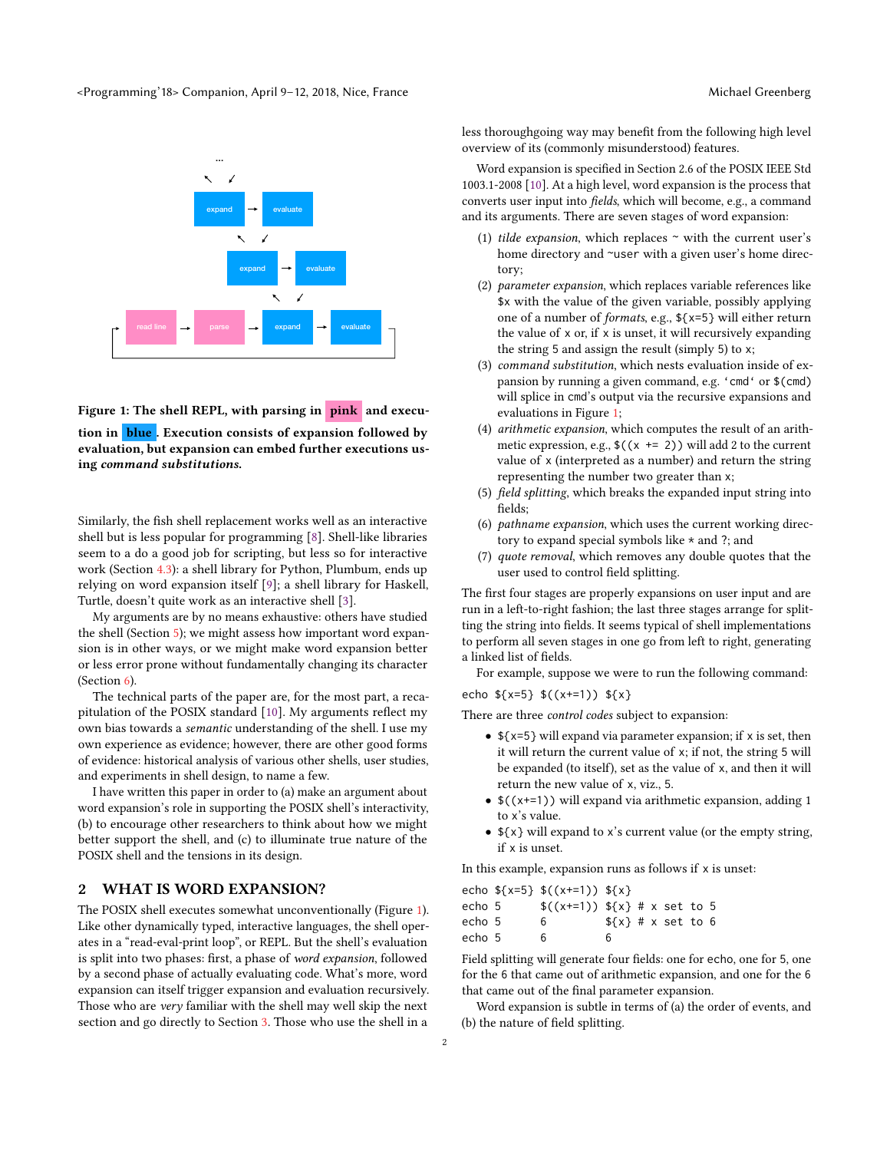<span id="page-1-1"></span>

Figure 1: The shell REPL, with parsing in pink and execution in **blue**. Execution consists of expansion followed by evaluation, but expansion can embed further executions using command substitutions.

Similarly, the fish shell replacement works well as an interactive shell but is less popular for programming [\[8\]](#page-7-5). Shell-like libraries seem to a do a good job for scripting, but less so for interactive work (Section [4.3\)](#page-6-0): a shell library for Python, Plumbum, ends up relying on word expansion itself [\[9\]](#page-7-6); a shell library for Haskell, Turtle, doesn't quite work as an interactive shell [\[3\]](#page-7-7).

My arguments are by no means exhaustive: others have studied the shell (Section [5\)](#page-6-1); we might assess how important word expansion is in other ways, or we might make word expansion better or less error prone without fundamentally changing its character (Section [6\)](#page-6-2).

The technical parts of the paper are, for the most part, a recapitulation of the POSIX standard [\[10\]](#page-7-1). My arguments reflect my own bias towards a semantic understanding of the shell. I use my own experience as evidence; however, there are other good forms of evidence: historical analysis of various other shells, user studies, and experiments in shell design, to name a few.

I have written this paper in order to (a) make an argument about word expansion's role in supporting the POSIX shell's interactivity, (b) to encourage other researchers to think about how we might better support the shell, and (c) to illuminate true nature of the POSIX shell and the tensions in its design.

#### <span id="page-1-0"></span>2 WHAT IS WORD EXPANSION?

The POSIX shell executes somewhat unconventionally (Figure [1\)](#page-1-1). Like other dynamically typed, interactive languages, the shell operates in a "read-eval-print loop", or REPL. But the shell's evaluation is split into two phases: first, a phase of word expansion, followed by a second phase of actually evaluating code. What's more, word expansion can itself trigger expansion and evaluation recursively. Those who are very familiar with the shell may well skip the next section and go directly to Section [3.](#page-3-0) Those who use the shell in a

less thoroughgoing way may benefit from the following high level overview of its (commonly misunderstood) features.

Word expansion is specified in Section 2.6 of the POSIX IEEE Std 1003.1-2008 [\[10\]](#page-7-1). At a high level, word expansion is the process that converts user input into fields, which will become, e.g., a command and its arguments. There are seven stages of word expansion:

- (1) tilde expansion, which replaces  $\sim$  with the current user's home directory and ~user with a given user's home directory;
- (2) parameter expansion, which replaces variable references like \$x with the value of the given variable, possibly applying one of a number of formats, e.g., \${x=5} will either return the value of x or, if x is unset, it will recursively expanding the string 5 and assign the result (simply 5) to x;
- (3) command substitution, which nests evaluation inside of expansion by running a given command, e.g. 'cmd' or \$(cmd) will splice in cmd's output via the recursive expansions and evaluations in Figure [1;](#page-1-1)
- (4) arithmetic expansion, which computes the result of an arithmetic expression, e.g.,  $((x + 2))$  will add 2 to the current value of x (interpreted as a number) and return the string representing the number two greater than x;
- (5) field splitting, which breaks the expanded input string into fields;
- (6) pathname expansion, which uses the current working directory to expand special symbols like \* and ?; and
- (7) quote removal, which removes any double quotes that the user used to control field splitting.

The first four stages are properly expansions on user input and are run in a left-to-right fashion; the last three stages arrange for splitting the string into fields. It seems typical of shell implementations to perform all seven stages in one go from left to right, generating a linked list of fields.

For example, suppose we were to run the following command:

echo \${x=5} \$((x+=1)) \${x}

There are three control codes subject to expansion:

- \${x=5} will expand via parameter expansion; if x is set, then it will return the current value of x; if not, the string 5 will be expanded (to itself), set as the value of x, and then it will return the new value of x, viz., 5.
- \$((x+=1)) will expand via arithmetic expansion, adding 1 to x's value.
- \${x} will expand to x's current value (or the empty string, if x is unset.

In this example, expansion runs as follows if x is unset:

echo  $f(x=5)$   $f(x=-1)$   $f(x)$ echo 5  $\{(x+=1))$   $\{(x+1)\}\$  # x set to 5 echo 5 6  $\{x\}$  # x set to 6

echo 5 6 6

Field splitting will generate four fields: one for echo, one for 5, one for the 6 that came out of arithmetic expansion, and one for the 6 that came out of the final parameter expansion.

Word expansion is subtle in terms of (a) the order of events, and (b) the nature of field splitting.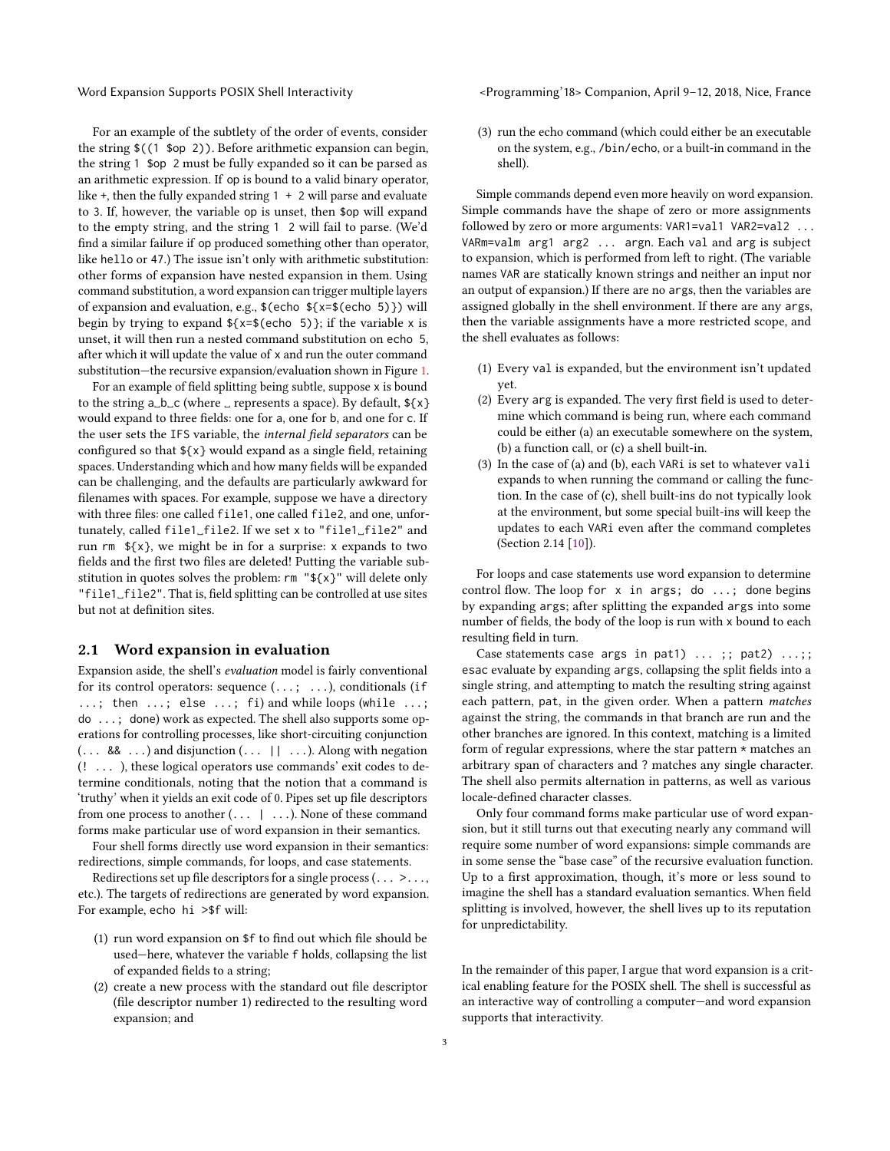For an example of the subtlety of the order of events, consider the string \$((1 \$op 2)). Before arithmetic expansion can begin, the string 1 \$op 2 must be fully expanded so it can be parsed as an arithmetic expression. If op is bound to a valid binary operator, like +, then the fully expanded string 1 + 2 will parse and evaluate to 3. If, however, the variable op is unset, then \$op will expand to the empty string, and the string 1 2 will fail to parse. (We'd find a similar failure if op produced something other than operator, like hello or 47.) The issue isn't only with arithmetic substitution: other forms of expansion have nested expansion in them. Using command substitution, a word expansion can trigger multiple layers of expansion and evaluation, e.g., \$(echo \${x=\$(echo 5)}) will begin by trying to expand  $\{(x=\text{secho } 5)\}$ ; if the variable x is unset, it will then run a nested command substitution on echo 5, after which it will update the value of x and run the outer command substitution—the recursive expansion/evaluation shown in Figure [1.](#page-1-1)

For an example of field splitting being subtle, suppose x is bound to the string  $a_b$ <sub>-c</sub> (where  $\Box$  represents a space). By default,  $\{(x)\}$ would expand to three fields: one for a, one for b, and one for c. If the user sets the IFS variable, the internal field separators can be configured so that \${x} would expand as a single field, retaining spaces. Understanding which and how many fields will be expanded can be challenging, and the defaults are particularly awkward for filenames with spaces. For example, suppose we have a directory with three files: one called file1, one called file2, and one, unfortunately, called file1␣file2. If we set x to "file1␣file2" and run rm  $f(x)$ , we might be in for a surprise: x expands to two fields and the first two files are deleted! Putting the variable substitution in quotes solves the problem: rm "\${x}" will delete only "file1␣file2". That is, field splitting can be controlled at use sites but not at definition sites.

#### 2.1 Word expansion in evaluation

Expansion aside, the shell's evaluation model is fairly conventional for its control operators: sequence (...; ...), conditionals (if ...; then ...; else ...; fi) and while loops (while ...; do ...; done) work as expected. The shell also supports some operations for controlling processes, like short-circuiting conjunction (... && ...) and disjunction (... || ...). Along with negation (! ... ), these logical operators use commands' exit codes to determine conditionals, noting that the notion that a command is 'truthy' when it yields an exit code of 0. Pipes set up file descriptors from one process to another  $(\ldots | \ldots)$ . None of these command forms make particular use of word expansion in their semantics.

Four shell forms directly use word expansion in their semantics: redirections, simple commands, for loops, and case statements.

Redirections set up file descriptors for a single process (... >..., etc.). The targets of redirections are generated by word expansion. For example, echo hi >\$f will:

- (1) run word expansion on \$f to find out which file should be used—here, whatever the variable f holds, collapsing the list of expanded fields to a string;
- (2) create a new process with the standard out file descriptor (file descriptor number 1) redirected to the resulting word expansion; and

Word Expansion Supports POSIX Shell Interactivity <Programming'18> Companion, April 9–12, 2018, Nice, France

(3) run the echo command (which could either be an executable on the system, e.g., /bin/echo, or a built-in command in the shell).

Simple commands depend even more heavily on word expansion. Simple commands have the shape of zero or more assignments followed by zero or more arguments: VAR1=val1 VAR2=val2 ... VARm=valm arg1 arg2 ... argn. Each val and arg is subject to expansion, which is performed from left to right. (The variable names VAR are statically known strings and neither an input nor an output of expansion.) If there are no args, then the variables are assigned globally in the shell environment. If there are any args, then the variable assignments have a more restricted scope, and the shell evaluates as follows:

- (1) Every val is expanded, but the environment isn't updated yet.
- (2) Every arg is expanded. The very first field is used to determine which command is being run, where each command could be either (a) an executable somewhere on the system, (b) a function call, or (c) a shell built-in.
- (3) In the case of (a) and (b), each VARi is set to whatever vali expands to when running the command or calling the function. In the case of (c), shell built-ins do not typically look at the environment, but some special built-ins will keep the updates to each VARi even after the command completes (Section 2.14 [\[10\]](#page-7-1)).

For loops and case statements use word expansion to determine control flow. The loop for x in args; do ...; done begins by expanding args; after splitting the expanded args into some number of fields, the body of the loop is run with x bound to each resulting field in turn.

Case statements case args in pat1) ...;; pat2) ...;; esac evaluate by expanding args, collapsing the split fields into a single string, and attempting to match the resulting string against each pattern, pat, in the given order. When a pattern matches against the string, the commands in that branch are run and the other branches are ignored. In this context, matching is a limited form of regular expressions, where the star pattern \* matches an arbitrary span of characters and ? matches any single character. The shell also permits alternation in patterns, as well as various locale-defined character classes.

Only four command forms make particular use of word expansion, but it still turns out that executing nearly any command will require some number of word expansions: simple commands are in some sense the "base case" of the recursive evaluation function. Up to a first approximation, though, it's more or less sound to imagine the shell has a standard evaluation semantics. When field splitting is involved, however, the shell lives up to its reputation for unpredictability.

In the remainder of this paper, I argue that word expansion is a critical enabling feature for the POSIX shell. The shell is successful as an interactive way of controlling a computer—and word expansion supports that interactivity.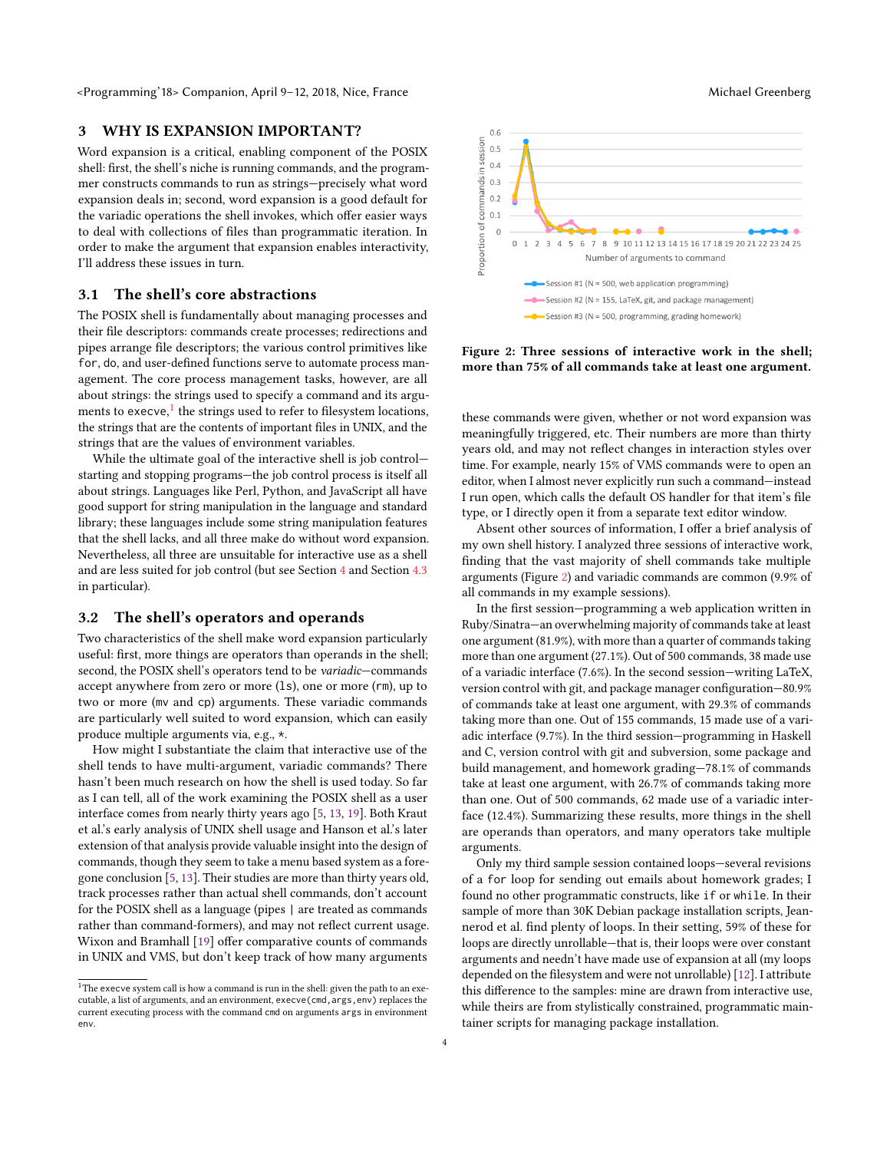# <span id="page-3-0"></span>3 WHY IS EXPANSION IMPORTANT?

Word expansion is a critical, enabling component of the POSIX shell: first, the shell's niche is running commands, and the programmer constructs commands to run as strings—precisely what word expansion deals in; second, word expansion is a good default for the variadic operations the shell invokes, which offer easier ways to deal with collections of files than programmatic iteration. In order to make the argument that expansion enables interactivity, I'll address these issues in turn.

# <span id="page-3-1"></span>3.1 The shell's core abstractions

The POSIX shell is fundamentally about managing processes and their file descriptors: commands create processes; redirections and pipes arrange file descriptors; the various control primitives like for, do, and user-defined functions serve to automate process management. The core process management tasks, however, are all about strings: the strings used to specify a command and its arguments to execve, $\frac{1}{1}$  $\frac{1}{1}$  $\frac{1}{1}$  the strings used to refer to filesystem locations, the strings that are the contents of important files in UNIX, and the strings that are the values of environment variables.

While the ultimate goal of the interactive shell is job control starting and stopping programs—the job control process is itself all about strings. Languages like Perl, Python, and JavaScript all have good support for string manipulation in the language and standard library; these languages include some string manipulation features that the shell lacks, and all three make do without word expansion. Nevertheless, all three are unsuitable for interactive use as a shell and are less suited for job control (but see Section [4](#page-4-0) and Section [4.3](#page-6-0) in particular).

#### <span id="page-3-2"></span>3.2 The shell's operators and operands

Two characteristics of the shell make word expansion particularly useful: first, more things are operators than operands in the shell; second, the POSIX shell's operators tend to be variadic—commands accept anywhere from zero or more (ls), one or more (rm), up to two or more (mv and cp) arguments. These variadic commands are particularly well suited to word expansion, which can easily produce multiple arguments via, e.g., \*.

How might I substantiate the claim that interactive use of the shell tends to have multi-argument, variadic commands? There hasn't been much research on how the shell is used today. So far as I can tell, all of the work examining the POSIX shell as a user interface comes from nearly thirty years ago [\[5,](#page-7-8) [13,](#page-7-9) [19\]](#page-7-10). Both Kraut et al.'s early analysis of UNIX shell usage and Hanson et al.'s later extension of that analysis provide valuable insight into the design of commands, though they seem to take a menu based system as a foregone conclusion [\[5,](#page-7-8) [13\]](#page-7-9). Their studies are more than thirty years old, track processes rather than actual shell commands, don't account for the POSIX shell as a language (pipes | are treated as commands rather than command-formers), and may not reflect current usage. Wixon and Bramhall [\[19\]](#page-7-10) offer comparative counts of commands in UNIX and VMS, but don't keep track of how many arguments

<span id="page-3-4"></span>

Figure 2: Three sessions of interactive work in the shell; more than 75% of all commands take at least one argument.

these commands were given, whether or not word expansion was meaningfully triggered, etc. Their numbers are more than thirty years old, and may not reflect changes in interaction styles over time. For example, nearly 15% of VMS commands were to open an editor, when I almost never explicitly run such a command—instead I run open, which calls the default OS handler for that item's file type, or I directly open it from a separate text editor window.

Absent other sources of information, I offer a brief analysis of my own shell history. I analyzed three sessions of interactive work, finding that the vast majority of shell commands take multiple arguments (Figure [2\)](#page-3-4) and variadic commands are common (9.9% of all commands in my example sessions).

In the first session—programming a web application written in Ruby/Sinatra—an overwhelming majority of commands take at least one argument (81.9%), with more than a quarter of commands taking more than one argument (27.1%). Out of 500 commands, 38 made use of a variadic interface (7.6%). In the second session—writing LaTeX, version control with git, and package manager configuration—80.9% of commands take at least one argument, with 29.3% of commands taking more than one. Out of 155 commands, 15 made use of a variadic interface (9.7%). In the third session—programming in Haskell and C, version control with git and subversion, some package and build management, and homework grading—78.1% of commands take at least one argument, with 26.7% of commands taking more than one. Out of 500 commands, 62 made use of a variadic interface (12.4%). Summarizing these results, more things in the shell are operands than operators, and many operators take multiple arguments.

Only my third sample session contained loops—several revisions of a for loop for sending out emails about homework grades; I found no other programmatic constructs, like if or while. In their sample of more than 30K Debian package installation scripts, Jeannerod et al. find plenty of loops. In their setting, 59% of these for loops are directly unrollable—that is, their loops were over constant arguments and needn't have made use of expansion at all (my loops depended on the filesystem and were not unrollable) [\[12\]](#page-7-11). I attribute this difference to the samples: mine are drawn from interactive use, while theirs are from stylistically constrained, programmatic maintainer scripts for managing package installation.

<span id="page-3-3"></span> $^{\rm 1}{\rm The}$  execve system call is how a command is run in the shell: given the path to an executable, a list of arguments, and an environment, execve(cmd,args,env) replaces the current executing process with the command cmd on arguments args in environment env.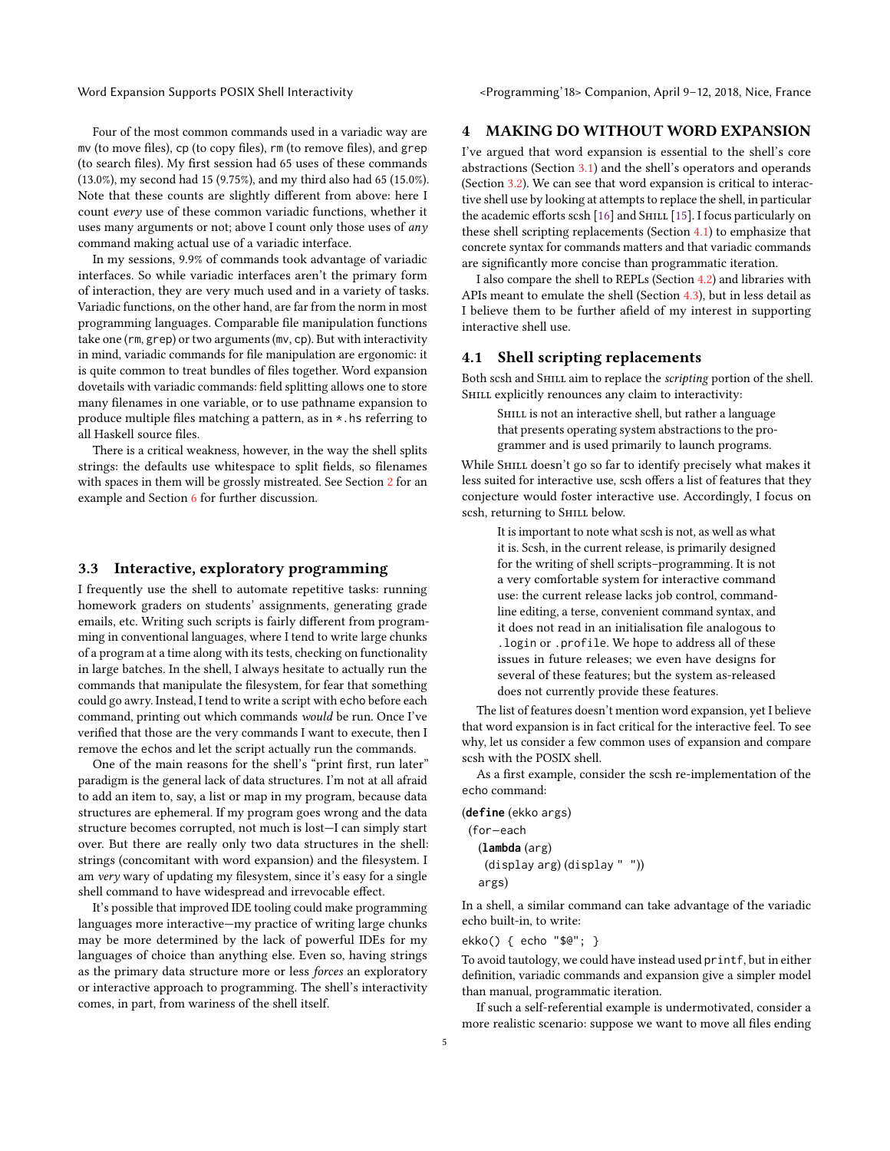Word Expansion Supports POSIX Shell Interactivity <Programming'18> Companion, April 9–12, 2018, Nice, France

Four of the most common commands used in a variadic way are mv (to move files), cp (to copy files), rm (to remove files), and grep (to search files). My first session had 65 uses of these commands (13.0%), my second had 15 (9.75%), and my third also had 65 (15.0%). Note that these counts are slightly different from above: here I count every use of these common variadic functions, whether it uses many arguments or not; above I count only those uses of any command making actual use of a variadic interface.

In my sessions, 9.9% of commands took advantage of variadic interfaces. So while variadic interfaces aren't the primary form of interaction, they are very much used and in a variety of tasks. Variadic functions, on the other hand, are far from the norm in most programming languages. Comparable file manipulation functions take one (rm, grep) or two arguments (mv, cp). But with interactivity in mind, variadic commands for file manipulation are ergonomic: it is quite common to treat bundles of files together. Word expansion dovetails with variadic commands: field splitting allows one to store many filenames in one variable, or to use pathname expansion to produce multiple files matching a pattern, as in \*.hs referring to all Haskell source files.

There is a critical weakness, however, in the way the shell splits strings: the defaults use whitespace to split fields, so filenames with spaces in them will be grossly mistreated. See Section [2](#page-1-0) for an example and Section [6](#page-6-2) for further discussion.

# 3.3 Interactive, exploratory programming

I frequently use the shell to automate repetitive tasks: running homework graders on students' assignments, generating grade emails, etc. Writing such scripts is fairly different from programming in conventional languages, where I tend to write large chunks of a program at a time along with its tests, checking on functionality in large batches. In the shell, I always hesitate to actually run the commands that manipulate the filesystem, for fear that something could go awry. Instead, I tend to write a script with echo before each command, printing out which commands would be run. Once I've verified that those are the very commands I want to execute, then I remove the echos and let the script actually run the commands.

One of the main reasons for the shell's "print first, run later" paradigm is the general lack of data structures. I'm not at all afraid to add an item to, say, a list or map in my program, because data structures are ephemeral. If my program goes wrong and the data structure becomes corrupted, not much is lost—I can simply start over. But there are really only two data structures in the shell: strings (concomitant with word expansion) and the filesystem. I am very wary of updating my filesystem, since it's easy for a single shell command to have widespread and irrevocable effect.

It's possible that improved IDE tooling could make programming languages more interactive—my practice of writing large chunks may be more determined by the lack of powerful IDEs for my languages of choice than anything else. Even so, having strings as the primary data structure more or less forces an exploratory or interactive approach to programming. The shell's interactivity comes, in part, from wariness of the shell itself.

# <span id="page-4-0"></span>4 MAKING DO WITHOUT WORD EXPANSION

I've argued that word expansion is essential to the shell's core abstractions (Section [3.1\)](#page-3-1) and the shell's operators and operands (Section [3.2\)](#page-3-2). We can see that word expansion is critical to interactive shell use by looking at attempts to replace the shell, in particular the academic efforts scsh [\[16\]](#page-7-4) and SHILL [\[15\]](#page-7-3). I focus particularly on these shell scripting replacements (Section [4.1\)](#page-4-1) to emphasize that concrete syntax for commands matters and that variadic commands are significantly more concise than programmatic iteration.

I also compare the shell to REPLs (Section [4.2\)](#page-5-0) and libraries with APIs meant to emulate the shell (Section [4.3\)](#page-6-0), but in less detail as I believe them to be further afield of my interest in supporting interactive shell use.

## <span id="page-4-1"></span>4.1 Shell scripting replacements

Both scsh and SHILL aim to replace the scripting portion of the shell. SHILL explicitly renounces any claim to interactivity:

SHILL is not an interactive shell, but rather a language that presents operating system abstractions to the programmer and is used primarily to launch programs.

While SHILL doesn't go so far to identify precisely what makes it less suited for interactive use, scsh offers a list of features that they conjecture would foster interactive use. Accordingly, I focus on scsh, returning to SHILL below.

It is important to note what scsh is not, as well as what it is. Scsh, in the current release, is primarily designed for the writing of shell scripts–programming. It is not a very comfortable system for interactive command use: the current release lacks job control, commandline editing, a terse, convenient command syntax, and it does not read in an initialisation file analogous to .login or .profile. We hope to address all of these issues in future releases; we even have designs for several of these features; but the system as-released does not currently provide these features.

The list of features doesn't mention word expansion, yet I believe that word expansion is in fact critical for the interactive feel. To see why, let us consider a few common uses of expansion and compare scsh with the POSIX shell.

As a first example, consider the scsh re-implementation of the echo command:

(**define** (ekko args) (for−each (**lambda** (arg) (display arg) (display " ")) args)

In a shell, a similar command can take advantage of the variadic echo built-in, to write:

ekko() { echo "\$@"; }

To avoid tautology, we could have instead used printf, but in either definition, variadic commands and expansion give a simpler model than manual, programmatic iteration.

If such a self-referential example is undermotivated, consider a more realistic scenario: suppose we want to move all files ending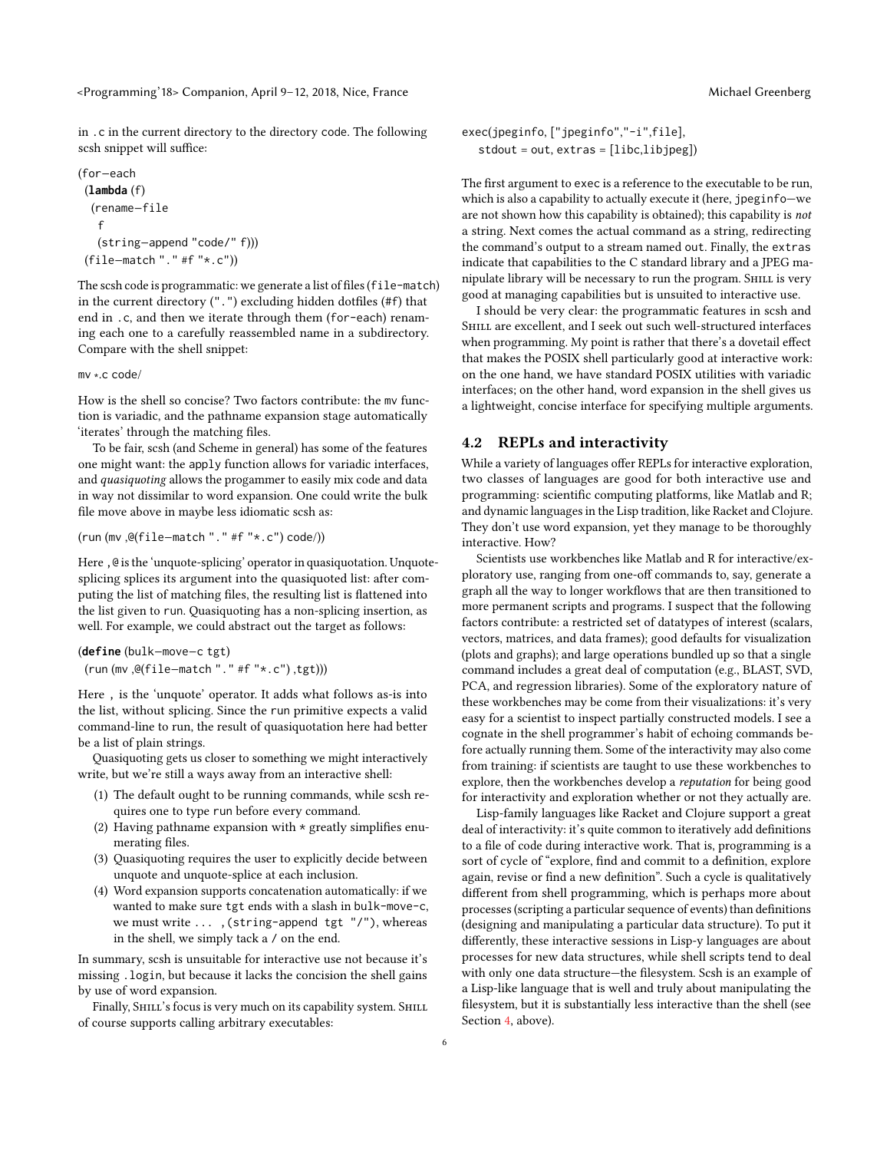in .c in the current directory to the directory code. The following scsh snippet will suffice:

```
(for−each
 (lambda (f)
  (rename−file
   f
   (string−append "code/" f)))
 (file−match "." #f "*.c"))
```
The scsh code is programmatic: we generate a list of files (file-match) in the current directory (".") excluding hidden dotfiles (#f) that end in .c, and then we iterate through them (for-each) renaming each one to a carefully reassembled name in a subdirectory. Compare with the shell snippet:

mv ∗.c code/

How is the shell so concise? Two factors contribute: the mv function is variadic, and the pathname expansion stage automatically 'iterates' through the matching files.

To be fair, scsh (and Scheme in general) has some of the features one might want: the apply function allows for variadic interfaces, and quasiquoting allows the progammer to easily mix code and data in way not dissimilar to word expansion. One could write the bulk file move above in maybe less idiomatic scsh as:

(run (mv ,@(file−match "." #f "\*.c") code/))

Here ,@ is the 'unquote-splicing' operator in quasiquotation. Unquotesplicing splices its argument into the quasiquoted list: after computing the list of matching files, the resulting list is flattened into the list given to run. Quasiquoting has a non-splicing insertion, as well. For example, we could abstract out the target as follows:

(**define** (bulk−move−c tgt) (run (mv ,@(file−match "." #f "\*.c") ,tgt)))

Here , is the 'unquote' operator. It adds what follows as-is into the list, without splicing. Since the run primitive expects a valid command-line to run, the result of quasiquotation here had better be a list of plain strings.

Quasiquoting gets us closer to something we might interactively write, but we're still a ways away from an interactive shell:

- (1) The default ought to be running commands, while scsh requires one to type run before every command.
- (2) Having pathname expansion with \* greatly simplifies enumerating files.
- (3) Quasiquoting requires the user to explicitly decide between unquote and unquote-splice at each inclusion.
- (4) Word expansion supports concatenation automatically: if we wanted to make sure tgt ends with a slash in bulk-move-c, we must write ... ,(string-append tgt "/"), whereas in the shell, we simply tack a / on the end.

In summary, scsh is unsuitable for interactive use not because it's missing .login, but because it lacks the concision the shell gains by use of word expansion.

Finally, SHILL's focus is very much on its capability system. SHILL of course supports calling arbitrary executables:

exec(jpeginfo, ["jpeginfo","-i",file], stdout = out, extras = [libc,libjpeg])

The first argument to exec is a reference to the executable to be run, which is also a capability to actually execute it (here, jpeginfo—we are not shown how this capability is obtained); this capability is not a string. Next comes the actual command as a string, redirecting the command's output to a stream named out. Finally, the extras indicate that capabilities to the C standard library and a JPEG manipulate library will be necessary to run the program. SHILL is very good at managing capabilities but is unsuited to interactive use.

I should be very clear: the programmatic features in scsh and SHILL are excellent, and I seek out such well-structured interfaces when programming. My point is rather that there's a dovetail effect that makes the POSIX shell particularly good at interactive work: on the one hand, we have standard POSIX utilities with variadic interfaces; on the other hand, word expansion in the shell gives us a lightweight, concise interface for specifying multiple arguments.

### <span id="page-5-0"></span>4.2 REPLs and interactivity

While a variety of languages offer REPLs for interactive exploration, two classes of languages are good for both interactive use and programming: scientific computing platforms, like Matlab and R; and dynamic languages in the Lisp tradition, like Racket and Clojure. They don't use word expansion, yet they manage to be thoroughly interactive. How?

Scientists use workbenches like Matlab and R for interactive/exploratory use, ranging from one-off commands to, say, generate a graph all the way to longer workflows that are then transitioned to more permanent scripts and programs. I suspect that the following factors contribute: a restricted set of datatypes of interest (scalars, vectors, matrices, and data frames); good defaults for visualization (plots and graphs); and large operations bundled up so that a single command includes a great deal of computation (e.g., BLAST, SVD, PCA, and regression libraries). Some of the exploratory nature of these workbenches may be come from their visualizations: it's very easy for a scientist to inspect partially constructed models. I see a cognate in the shell programmer's habit of echoing commands before actually running them. Some of the interactivity may also come from training: if scientists are taught to use these workbenches to explore, then the workbenches develop a reputation for being good for interactivity and exploration whether or not they actually are.

Lisp-family languages like Racket and Clojure support a great deal of interactivity: it's quite common to iteratively add definitions to a file of code during interactive work. That is, programming is a sort of cycle of "explore, find and commit to a definition, explore again, revise or find a new definition". Such a cycle is qualitatively different from shell programming, which is perhaps more about processes (scripting a particular sequence of events) than definitions (designing and manipulating a particular data structure). To put it differently, these interactive sessions in Lisp-y languages are about processes for new data structures, while shell scripts tend to deal with only one data structure—the filesystem. Scsh is an example of a Lisp-like language that is well and truly about manipulating the filesystem, but it is substantially less interactive than the shell (see Section [4,](#page-4-0) above).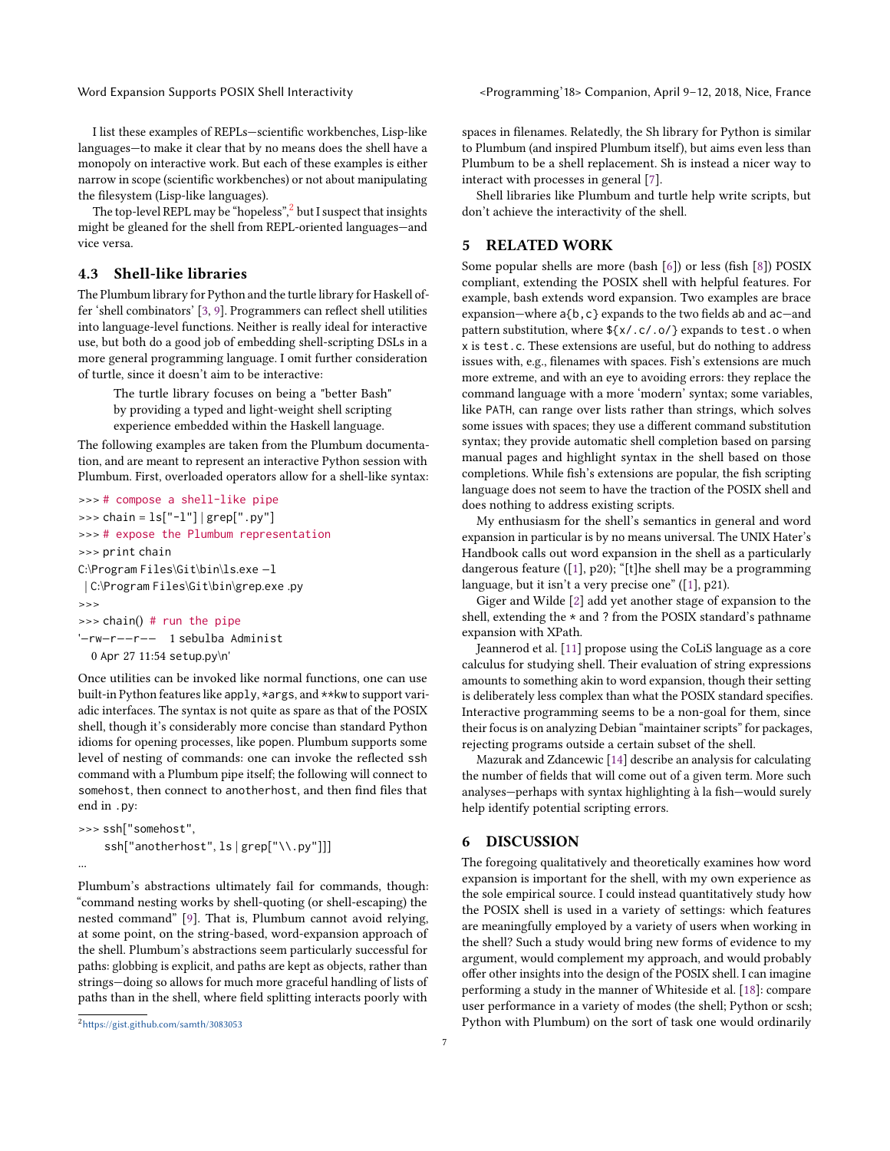I list these examples of REPLs—scientific workbenches, Lisp-like languages—to make it clear that by no means does the shell have a monopoly on interactive work. But each of these examples is either narrow in scope (scientific workbenches) or not about manipulating the filesystem (Lisp-like languages).

The top-level REPL may be "hopeless", but I suspect that insights might be gleaned for the shell from REPL-oriented languages—and vice versa.

# <span id="page-6-0"></span>4.3 Shell-like libraries

The Plumbum library for Python and the turtle library for Haskell offer 'shell combinators' [\[3,](#page-7-7) [9\]](#page-7-6). Programmers can reflect shell utilities into language-level functions. Neither is really ideal for interactive use, but both do a good job of embedding shell-scripting DSLs in a more general programming language. I omit further consideration of turtle, since it doesn't aim to be interactive:

The turtle library focuses on being a "better Bash" by providing a typed and light-weight shell scripting experience embedded within the Haskell language.

The following examples are taken from the Plumbum documentation, and are meant to represent an interactive Python session with Plumbum. First, overloaded operators allow for a shell-like syntax:

```
>>> # compose a shell-like pipe
\Rightarrow ->> chain = ls["-1"] | grep[".py"]
>>> # expose the Plumbum representation
>>> print chain
C:\Program Files\Git\bin\ls.exe −l
| C:\Program Files\Git\bin\grep.exe .py
>>>
>>> chain() # run the pipe
'−rw−r−−r−− 1 sebulba Administ
  0 Apr 27 11:54 setup.py\n'
```
Once utilities can be invoked like normal functions, one can use built-in Python features like apply, \*args, and \*\*kw to support variadic interfaces. The syntax is not quite as spare as that of the POSIX shell, though it's considerably more concise than standard Python idioms for opening processes, like popen. Plumbum supports some level of nesting of commands: one can invoke the reflected ssh command with a Plumbum pipe itself; the following will connect to somehost, then connect to anotherhost, and then find files that end in .py:

```
>>> ssh["somehost",
    ssh["anotherhost", ls | grep["\\.py"]]]
...
```
Plumbum's abstractions ultimately fail for commands, though: "command nesting works by shell-quoting (or shell-escaping) the nested command" [\[9\]](#page-7-6). That is, Plumbum cannot avoid relying, at some point, on the string-based, word-expansion approach of the shell. Plumbum's abstractions seem particularly successful for paths: globbing is explicit, and paths are kept as objects, rather than strings—doing so allows for much more graceful handling of lists of paths than in the shell, where field splitting interacts poorly with

spaces in filenames. Relatedly, the Sh library for Python is similar to Plumbum (and inspired Plumbum itself), but aims even less than Plumbum to be a shell replacement. Sh is instead a nicer way to interact with processes in general [\[7\]](#page-7-12).

Shell libraries like Plumbum and turtle help write scripts, but don't achieve the interactivity of the shell.

#### <span id="page-6-1"></span>5 RELATED WORK

Some popular shells are more (bash [\[6\]](#page-7-13)) or less (fish [\[8\]](#page-7-5)) POSIX compliant, extending the POSIX shell with helpful features. For example, bash extends word expansion. Two examples are brace expansion—where a{b,c} expands to the two fields ab and ac—and pattern substitution, where \${x/.c/.o/} expands to test.o when x is test.c. These extensions are useful, but do nothing to address issues with, e.g., filenames with spaces. Fish's extensions are much more extreme, and with an eye to avoiding errors: they replace the command language with a more 'modern' syntax; some variables, like PATH, can range over lists rather than strings, which solves some issues with spaces; they use a different command substitution syntax; they provide automatic shell completion based on parsing manual pages and highlight syntax in the shell based on those completions. While fish's extensions are popular, the fish scripting language does not seem to have the traction of the POSIX shell and does nothing to address existing scripts.

My enthusiasm for the shell's semantics in general and word expansion in particular is by no means universal. The UNIX Hater's Handbook calls out word expansion in the shell as a particularly dangerous feature ([\[1\]](#page-7-14), p20); "[t]he shell may be a programming language, but it isn't a very precise one" ([\[1\]](#page-7-14), p21).

Giger and Wilde [\[2\]](#page-7-15) add yet another stage of expansion to the shell, extending the \* and ? from the POSIX standard's pathname expansion with XPath.

Jeannerod et al. [\[11\]](#page-7-16) propose using the CoLiS language as a core calculus for studying shell. Their evaluation of string expressions amounts to something akin to word expansion, though their setting is deliberately less complex than what the POSIX standard specifies. Interactive programming seems to be a non-goal for them, since their focus is on analyzing Debian "maintainer scripts" for packages, rejecting programs outside a certain subset of the shell.

Mazurak and Zdancewic [\[14\]](#page-7-17) describe an analysis for calculating the number of fields that will come out of a given term. More such analyses—perhaps with syntax highlighting à la fish—would surely help identify potential scripting errors.

## <span id="page-6-2"></span>6 DISCUSSION

The foregoing qualitatively and theoretically examines how word expansion is important for the shell, with my own experience as the sole empirical source. I could instead quantitatively study how the POSIX shell is used in a variety of settings: which features are meaningfully employed by a variety of users when working in the shell? Such a study would bring new forms of evidence to my argument, would complement my approach, and would probably offer other insights into the design of the POSIX shell. I can imagine performing a study in the manner of Whiteside et al. [\[18\]](#page-7-18): compare user performance in a variety of modes (the shell; Python or scsh; Python with Plumbum) on the sort of task one would ordinarily

<span id="page-6-3"></span><sup>2</sup><https://gist.github.com/samth/3083053>